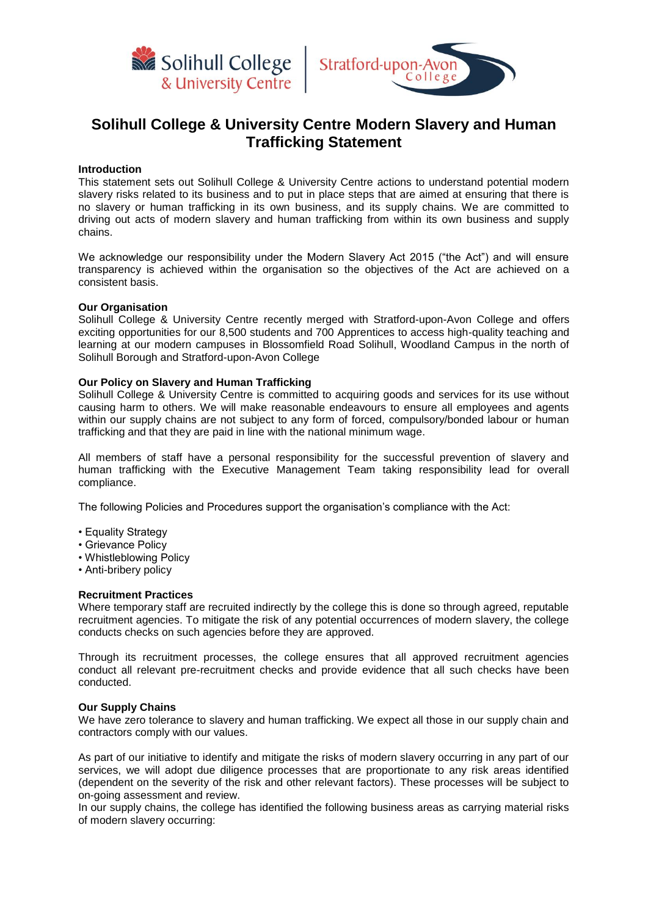



# **Solihull College & University Centre Modern Slavery and Human Trafficking Statement**

#### **Introduction**

This statement sets out Solihull College & University Centre actions to understand potential modern slavery risks related to its business and to put in place steps that are aimed at ensuring that there is no slavery or human trafficking in its own business, and its supply chains. We are committed to driving out acts of modern slavery and human trafficking from within its own business and supply chains.

We acknowledge our responsibility under the Modern Slavery Act 2015 ("the Act") and will ensure transparency is achieved within the organisation so the objectives of the Act are achieved on a consistent basis.

#### **Our Organisation**

Solihull College & University Centre recently merged with Stratford-upon-Avon College and offers exciting opportunities for our 8,500 students and 700 Apprentices to access high-quality teaching and learning at our modern campuses in Blossomfield Road Solihull, Woodland Campus in the north of Solihull Borough and Stratford-upon-Avon College

#### **Our Policy on Slavery and Human Trafficking**

Solihull College & University Centre is committed to acquiring goods and services for its use without causing harm to others. We will make reasonable endeavours to ensure all employees and agents within our supply chains are not subject to any form of forced, compulsory/bonded labour or human trafficking and that they are paid in line with the national minimum wage.

All members of staff have a personal responsibility for the successful prevention of slavery and human trafficking with the Executive Management Team taking responsibility lead for overall compliance.

The following Policies and Procedures support the organisation's compliance with the Act:

- Equality Strategy
- Grievance Policy
- Whistleblowing Policy
- Anti-bribery policy

## **Recruitment Practices**

Where temporary staff are recruited indirectly by the college this is done so through agreed, reputable recruitment agencies. To mitigate the risk of any potential occurrences of modern slavery, the college conducts checks on such agencies before they are approved.

Through its recruitment processes, the college ensures that all approved recruitment agencies conduct all relevant pre-recruitment checks and provide evidence that all such checks have been conducted.

### **Our Supply Chains**

We have zero tolerance to slavery and human trafficking. We expect all those in our supply chain and contractors comply with our values.

As part of our initiative to identify and mitigate the risks of modern slavery occurring in any part of our services, we will adopt due diligence processes that are proportionate to any risk areas identified (dependent on the severity of the risk and other relevant factors). These processes will be subject to on-going assessment and review.

In our supply chains, the college has identified the following business areas as carrying material risks of modern slavery occurring: